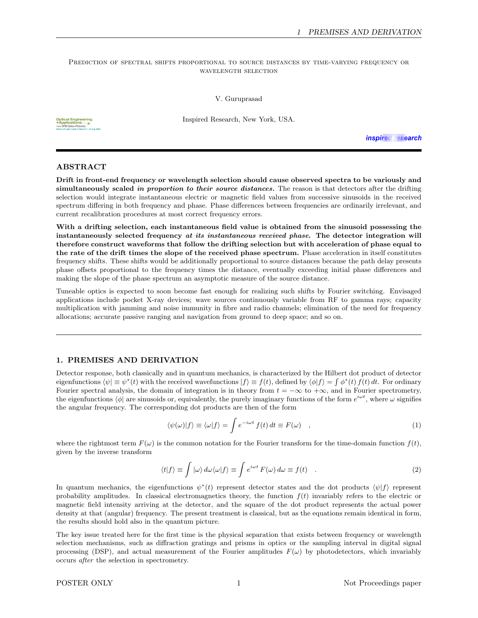### PREDICTION OF SPECTRAL SHIFTS PROPORTIONAL TO SOURCE DISTANCES BY TIME-VARYING FREQUENCY OR wavelength selection

V. Guruprasad

Inspired Research, New York, USA.

**Nature of Light: Light in Nature II − 11 Aug 2008**

inspired research

# ABSTRACT

Drift in front-end frequency or wavelength selection should cause observed spectra to be variously and simultaneously scaled in proportion to their source distances. The reason is that detectors after the drifting selection would integrate instantaneous electric or magnetic field values from successive sinusoids in the received spectrum differing in both frequency and phase. Phase differences between frequencies are ordinarily irrelevant, and current recalibration procedures at most correct frequency errors.

With a drifting selection, each instantaneous field value is obtained from the sinusoid possessing the instantaneously selected frequency at its instantaneous received phase. The detector integration will therefore construct waveforms that follow the drifting selection but with acceleration of phase equal to the rate of the drift times the slope of the received phase spectrum. Phase acceleration in itself constitutes frequency shifts. These shifts would be additionally proportional to source distances because the path delay presents phase offsets proportional to the frequency times the distance, eventually exceeding initial phase differences and making the slope of the phase spectrum an asymptotic measure of the source distance.

Tuneable optics is expected to soon become fast enough for realizing such shifts by Fourier switching. Envisaged applications include pocket X-ray devices; wave sources continuously variable from RF to gamma rays; capacity multiplication with jamming and noise immunity in fibre and radio channels; elimination of the need for frequency allocations; accurate passive ranging and navigation from ground to deep space; and so on.

# 1. PREMISES AND DERIVATION

Detector response, both classically and in quantum mechanics, is characterized by the Hilbert dot product of detector eigenfunctions  $\langle \psi | \equiv \psi^*(t)$  with the received wavefunctions  $|f\rangle \equiv f(t)$ , defined by  $\langle \phi | f \rangle = \int \phi^*(t) f(t) dt$ . For ordinary Fourier spectral analysis, the domain of integration is in theory from  $t = -\infty$  to  $+\infty$ , and in Fourier spectrometry, the eigenfunctions  $\langle \phi |$  are sinusoids or, equivalently, the purely imaginary functions of the form  $e^{i\omega t}$ , where  $\omega$  signifies the angular frequency. The corresponding dot products are then of the form

$$
\langle \psi(\omega)|f\rangle \equiv \langle \omega|f\rangle = \int e^{-i\omega t} f(t) dt \equiv F(\omega) , \qquad (1)
$$

where the rightmost term  $F(\omega)$  is the common notation for the Fourier transform for the time-domain function  $f(t)$ , given by the inverse transform

$$
\langle t|f\rangle \equiv \int |\omega\rangle \, d\omega \langle \omega|f\rangle \equiv \int e^{i\omega t} \, F(\omega) \, d\omega \equiv f(t) \quad . \tag{2}
$$

In quantum mechanics, the eigenfunctions  $\psi^*(t)$  represent detector states and the dot products  $\langle \psi | f \rangle$  represent probability amplitudes. In classical electromagnetics theory, the function  $f(t)$  invariably refers to the electric or magnetic field intensity arriving at the detector, and the square of the dot product represents the actual power density at that (angular) frequency. The present treatment is classical, but as the equations remain identical in form, the results should hold also in the quantum picture.

The key issue treated here for the first time is the physical separation that exists between frequency or wavelength selection mechanisms, such as diffraction gratings and prisms in optics or the sampling interval in digital signal processing (DSP), and actual measurement of the Fourier amplitudes  $F(\omega)$  by photodetectors, which invariably occurs after the selection in spectrometry.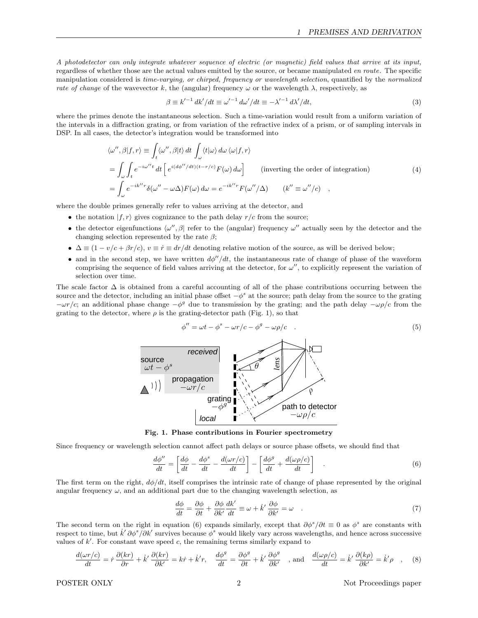A photodetector can only integrate whatever sequence of electric (or magnetic) field values that arrive at its input, regardless of whether those are the actual values emitted by the source, or became manipulated en route. The specific manipulation considered is time-varying, or chirped, frequency or wavelength selection, quantified by the normalized rate of change of the wavevector k, the (angular) frequency  $\omega$  or the wavelength  $\lambda$ , respectively, as

$$
\beta \equiv k'^{-1} dk'/dt \equiv \omega'^{-1} d\omega'/dt \equiv -\lambda'^{-1} d\lambda'/dt,\tag{3}
$$

where the primes denote the instantaneous selection. Such a time-variation would result from a uniform variation of the intervals in a diffraction grating, or from variation of the refractive index of a prism, or of sampling intervals in DSP. In all cases, the detector's integration would be transformed into

$$
\langle \omega'', \beta | f, r \rangle \equiv \int_t \langle \omega'', \beta | t \rangle dt \int_{\omega} \langle t | \omega \rangle d\omega \langle \omega | f, r \rangle
$$
  
\n
$$
= \int_{\omega} \int_t e^{-i\omega''t} dt \left[ e^{i(d\phi''/dt)(t-r/c)} F(\omega) d\omega \right] \qquad \text{(inverting the order of integration)}
$$
  
\n
$$
= \int_{\omega} e^{-ik''r} \delta(\omega'' - \omega \Delta) F(\omega) d\omega = e^{-ik''r} F(\omega''/\Delta) \qquad (k'' \equiv \omega''/c) ,
$$

where the double primes generally refer to values arriving at the detector, and

- the notation  $|f, r\rangle$  gives cognizance to the path delay  $r/c$  from the source;
- the detector eigenfunctions  $\langle \omega'', \beta \rangle$  refer to the (angular) frequency  $\omega''$  actually seen by the detector and the changing selection represented by the rate  $\beta$ ;
- $\Delta \equiv (1 v/c + \beta r/c), v \equiv \dot{r} \equiv dr/dt$  denoting relative motion of the source, as will be derived below;
- and in the second step, we have written  $d\phi''/dt$ , the instantaneous rate of change of phase of the waveform comprising the sequence of field values arriving at the detector, for  $\omega''$ , to explicitly represent the variation of selection over time.

The scale factor  $\Delta$  is obtained from a careful accounting of all of the phase contributions occurring between the source and the detector, including an initial phase offset  $-\phi^s$  at the source; path delay from the source to the grating  $-wr/c$ ; an additional phase change  $-\phi^g$  due to transmission by the grating; and the path delay  $-\omega\rho/c$  from the grating to the detector, where  $\rho$  is the grating-detector path (Fig. 1), so that



Fig. 1. Phase contributions in Fourier spectrometry

Since frequency or wavelength selection cannot affect path delays or source phase offsets, we should find that

$$
\frac{d\phi''}{dt} = \left[ \frac{d\phi}{dt} - \frac{d\phi^s}{dt} - \frac{d(\omega r/c)}{dt} \right] - \left[ \frac{d\phi^g}{dt} + \frac{d(\omega \rho/c)}{dt} \right] \quad . \tag{6}
$$

The first term on the right,  $d\phi/dt$ , itself comprises the intrinsic rate of change of phase represented by the original angular frequency  $\omega$ , and an additional part due to the changing wavelength selection, as

$$
\frac{d\phi}{dt} = \frac{\partial\phi}{\partial t} + \frac{\partial\phi}{\partial k'}\frac{dk'}{dt} \equiv \omega + \dot{k}'\frac{\partial\phi}{\partial k'} = \omega \quad .
$$
\n(7)

The second term on the right in equation (6) expands similarly, except that  $\partial \phi^s / \partial t \equiv 0$  as  $\phi^s$  are constants with respect to time, but  $\dot{k}' \partial \phi^s / \partial k'$  survives because  $\phi^s$  would likely vary across wavelengths, and hence across successive values of  $k'$ . For constant wave speed  $c$ , the remaining terms similarly expand to

$$
\frac{d(\omega r/c)}{dt} = \dot{r}\frac{\partial (kr)}{\partial r} + \dot{k}'\frac{\partial (kr)}{\partial k'} = k\dot{r} + \dot{k}'r, \quad \frac{d\phi^g}{dt} = \frac{\partial\phi^g}{\partial t} + \dot{k}'\frac{\partial\phi^g}{\partial k'} \quad , \text{and} \quad \frac{d(\omega\rho/c)}{dt} = \dot{k}'\frac{\partial (k\rho)}{\partial k'} = \dot{k}'\rho \quad , \quad (8)
$$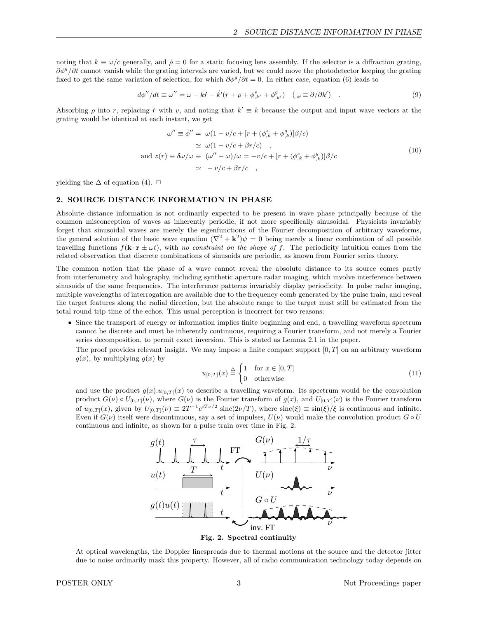noting that  $k \equiv \omega/c$  generally, and  $\dot{\rho} = 0$  for a static focusing lens assembly. If the selector is a diffraction grating,  $\partial \phi^g / \partial t$  cannot vanish while the grating intervals are varied, but we could move the photodetector keeping the grating fixed to get the same variation of selection, for which  $\partial \phi^g / \partial t = 0$ . In either case, equation (6) leads to

$$
d\phi''/dt \equiv \omega'' = \omega - k\dot{r} - \dot{k}'(r + \rho + \phi^s_{,k'} + \phi^g_{,k'}) \quad (k = \partial/\partial k') \quad . \tag{9}
$$

Absorbing  $\rho$  into r, replacing  $\dot{r}$  with v, and noting that  $k' \equiv k$  because the output and input wave vectors at the grating would be identical at each instant, we get

$$
\omega'' \equiv \dot{\phi}'' = \omega (1 - v/c + [r + (\phi_{,k}^s + \phi_{,k}^g)]\beta/c)
$$
  
\n
$$
\simeq \omega (1 - v/c + \beta r/c) ,
$$
  
\nand 
$$
z(r) \equiv \delta \omega/\omega \equiv (\omega'' - \omega)/\omega = -v/c + [r + (\phi_{,k}^s + \phi_{,k}^g)]\beta/c
$$
  
\n
$$
\simeq -v/c + \beta r/c ,
$$
\n(10)

yielding the  $\Delta$  of equation (4).  $\Box$ 

## 2. SOURCE DISTANCE INFORMATION IN PHASE

Absolute distance information is not ordinarily expected to be present in wave phase principally because of the common misconception of waves as inherently periodic, if not more specifically sinusoidal. Physicists invariably forget that sinusoidal waves are merely the eigenfunctions of the Fourier decomposition of arbitrary waveforms, the general solution of the basic wave equation  $(\nabla^2 + \mathbf{k}^2)\psi = 0$  being merely a linear combination of all possible travelling functions  $f(\mathbf{k} \cdot \mathbf{r} \pm \omega t)$ , with no constraint on the shape of f. The periodicity intuition comes from the related observation that discrete combinations of sinusoids are periodic, as known from Fourier series theory.

The common notion that the phase of a wave cannot reveal the absolute distance to its source comes partly from interferometry and holography, including synthetic aperture radar imaging, which involve interference between sinusoids of the same frequencies. The interference patterns invariably display periodicity. In pulse radar imaging, multiple wavelengths of interrogation are available due to the frequency comb generated by the pulse train, and reveal the target features along the radial direction, but the absolute range to the target must still be estimated from the total round trip time of the echos. This usual perception is incorrect for two reasons:

• Since the transport of energy or information implies finite beginning and end, a travelling waveform spectrum cannot be discrete and must be inherently continuous, requiring a Fourier transform, and not merely a Fourier series decomposition, to permit exact inversion. This is stated as Lemma 2.1 in the paper.

The proof provides relevant insight. We may impose a finite compact support  $[0, T]$  on an arbitrary waveform  $q(x)$ , by multiplying  $q(x)$  by

$$
u_{[0,T]}(x) \stackrel{\triangle}{=} \begin{cases} 1 & \text{for } x \in [0,T] \\ 0 & \text{otherwise} \end{cases} \tag{11}
$$

and use the product  $g(x) \cdot u_{[0,T]}(x)$  to describe a travelling waveform. Its spectrum would be the convolution product  $G(\nu) \circ U_{[0,T]}(\nu)$ , where  $G(\nu)$  is the Fourier transform of  $g(x)$ , and  $U_{[0,T]}(\nu)$  is the Fourier transform of  $u_{[0,T]}(x)$ , given by  $U_{[0,T]}(\nu) \equiv 2T^{-1}e^{iT\nu/2} \operatorname{sinc}(2\nu/T)$ , where  $\operatorname{sinc}(\xi) \equiv \sin(\xi)/\xi$  is continuous and infinite. Even if  $G(\nu)$  itself were discontinuous, say a set of impulses,  $U(\nu)$  would make the convolution product  $G \circ U$ continuous and infinite, as shown for a pulse train over time in Fig. 2.



Fig. 2. Spectral continuity

At optical wavelengths, the Doppler linespreads due to thermal motions at the source and the detector jitter due to noise ordinarily mask this property. However, all of radio communication technology today depends on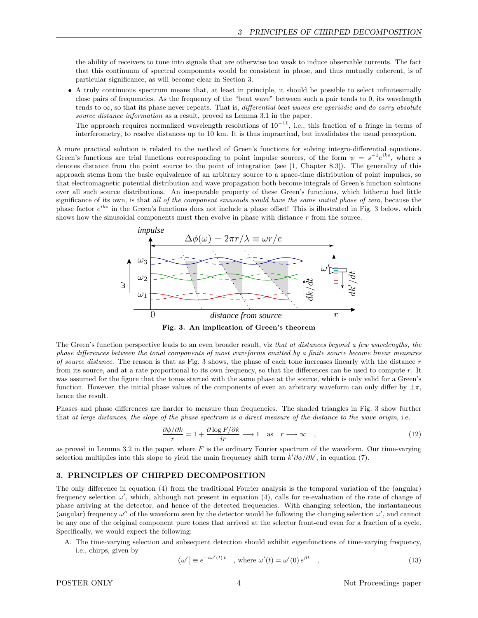the ability of receivers to tune into signals that are otherwise too weak to induce observable currents. The fact that this continuum of spectral components would be consistent in phase, and thus mutually coherent, is of particular significance, as will become clear in Section 3.

• A truly continuous spectrum means that, at least in principle, it should be possible to select infinitesimally close pairs of frequencies. As the frequency of the "beat wave" between such a pair tends to 0, its wavelength tends to  $\infty$ , so that its phase never repeats. That is, differential beat waves are aperiodic and do carry absolute source distance information as a result, proved as Lemma 3.1 in the paper.

The approach requires normalized wavelength resolutions of  $10^{-11}$ , i.e., this fraction of a fringe in terms of interferometry, to resolve distances up to 10 km. It is thus impractical, but invalidates the usual preception.

A more practical solution is related to the method of Green's functions for solving integro-differential equations. Green's functions are trial functions corresponding to point impulse sources, of the form  $\psi = s^{-1}e^{iks}$ , where s denotes distance from the point source to the point of integration (see [1, Chapter 8.3]). The generality of this approach stems from the basic equivalence of an arbitrary source to a space-time distribution of point impulses, so that electromagnetic potential distribution and wave propagation both become integrals of Green's function solutions over all such source distributions. An inseparable property of these Green's functions, which hitherto had little significance of its own, is that all of the component sinusoids would have the same initial phase of zero, because the phase factor  $e^{iks}$  in the Green's functions does not include a phase offset! This is illustrated in Fig. 3 below, which shows how the sinusoidal components must then evolve in phase with distance r from the source.



Fig. 3. An implication of Green's theorem

The Green's function perspective leads to an even broader result, viz that at distances beyond a few wavelengths, the phase differences between the tonal components of most waveforms emitted by a finite source become linear measures of source distance. The reason is that as Fig. 3 shows, the phase of each tone increases linearly with the distance  $r$ from its source, and at a rate proportional to its own frequency, so that the differences can be used to compute r. It was assumed for the figure that the tones started with the same phase at the source, which is only valid for a Green's function. However, the initial phase values of the components of even an arbitrary waveform can only differ by  $\pm \pi$ , hence the result.

Phases and phase differences are harder to measure than frequencies. The shaded triangles in Fig. 3 show further that at large distances, the slope of the phase spectrum is a direct measure of the distance to the wave origin, i.e.

$$
\frac{\partial \phi/\partial k}{r} = 1 + \frac{\partial \log F/\partial k}{ir} \longrightarrow 1 \quad \text{as} \quad r \longrightarrow \infty \quad , \tag{12}
$$

as proved in Lemma 3.2 in the paper, where  $F$  is the ordinary Fourier spectrum of the waveform. Our time-varying selection multiplies into this slope to yield the main frequency shift term  $\dot{k}'\partial\phi/\partial k'$ , in equation (7).

## 3. PRINCIPLES OF CHIRPED DECOMPOSITION

The only difference in equation (4) from the traditional Fourier analysis is the temporal variation of the (angular) frequency selection  $\omega'$ , which, although not present in equation (4), calls for re-evaluation of the rate of change of phase arriving at the detector, and hence of the detected frequencies. With changing selection, the instantaneous (angular) frequency  $\omega''$  of the waveform seen by the detector would be following the changing selection  $\omega'$ , and cannot be any one of the original component pure tones that arrived at the selector front-end even for a fraction of a cycle. Specifically, we would expect the following:

A. The time-varying selection and subsequent detection should exhibit eigenfunctions of time-varying frequency, i.e., chirps, given by

$$
\langle \omega' | \equiv e^{-i\omega'(t)t} \quad , \text{ where } \omega'(t) = \omega'(0) e^{\beta t} \quad , \tag{13}
$$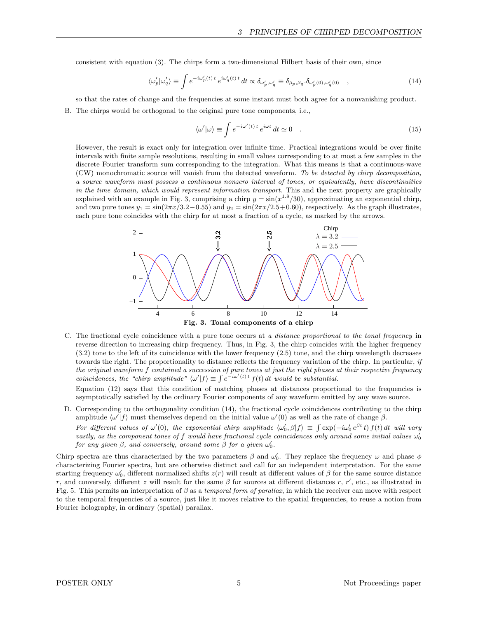consistent with equation (3). The chirps form a two-dimensional Hilbert basis of their own, since

$$
\langle \omega_p' | \omega_q' \rangle \equiv \int e^{-i\omega_p'(t)t} e^{i\omega_q'(t)t} dt \propto \delta_{\omega_p', \omega_q'} \equiv \delta_{\beta_p, \beta_q} . \delta_{\omega_p'(0), \omega_q'(0)} , \qquad (14)
$$

so that the rates of change and the frequencies at some instant must both agree for a nonvanishing product.

B. The chirps would be orthogonal to the original pure tone components, i.e.,

$$
\langle \omega' | \omega \rangle \equiv \int e^{-i\omega'(t)t} e^{i\omega t} dt \simeq 0 \quad . \tag{15}
$$

However, the result is exact only for integration over infinite time. Practical integrations would be over finite intervals with finite sample resolutions, resulting in small values corresponding to at most a few samples in the discrete Fourier transform sum corresponding to the integration. What this means is that a continuous-wave (CW) monochromatic source will vanish from the detected waveform. To be detected by chirp decomposition, a source waveform must possess a continuous nonzero interval of tones, or equivalently, have discontinuities in the time domain, which would represent information transport. This and the next property are graphically explained with an example in Fig. 3, comprising a chirp  $y = \sin(x^{1.8}/30)$ , approximating an exponential chirp, and two pure tones  $y_1 = \sin(2\pi x/3.2 - 0.55)$  and  $y_2 = \sin(2\pi x/2.5 + 0.60)$ , respectively. As the graph illustrates, each pure tone coincides with the chirp for at most a fraction of a cycle, as marked by the arrows.



C. The fractional cycle coincidence with a pure tone occurs at a distance proportional to the tonal frequency in reverse direction to increasing chirp frequency. Thus, in Fig. 3, the chirp coincides with the higher frequency (3.2) tone to the left of its coincidence with the lower frequency (2.5) tone, and the chirp wavelength decreases towards the right. The proportionality to distance reflects the frequency variation of the chirp. In particular,  $if$ the original waveform f contained a succession of pure tones at just the right phases at their respective frequency coincidences, the "chirp amplitude"  $\langle \omega' | f \rangle \equiv \int e^{-i\omega'(t)t} f(t) dt$  would be substantial.

Equation (12) says that this condition of matching phases at distances proportional to the frequencies is asymptotically satisfied by the ordinary Fourier components of any waveform emitted by any wave source.

D. Corresponding to the orthogonality condition (14), the fractional cycle coincidences contributing to the chirp amplitude  $\langle \omega' | f \rangle$  must themselves depend on the initial value  $\omega'(0)$  as well as the rate of change  $\beta$ . For different values of  $\omega'(0)$ , the exponential chirp amplitude  $\langle \omega'_0, \beta | f \rangle \equiv \int \exp(-i \omega'_0 e^{\beta t} t) f(t) dt$  will vary

vastly, as the component tones of f would have fractional cycle coincidences only around some initial values  $\omega_0'$ for any given  $\beta$ , and conversely, around some  $\beta$  for a given  $\omega_0'$ .

Chirp spectra are thus characterized by the two parameters  $\beta$  and  $\omega_0'$ . They replace the frequency  $\omega$  and phase  $\phi$ characterizing Fourier spectra, but are otherwise distinct and call for an independent interpretation. For the same starting frequency  $\omega'_0$ , different normalized shifts  $z(r)$  will result at different values of  $\beta$  for the same source distance r, and conversely, different z will result for the same  $\beta$  for sources at different distances r, r', etc., as illustrated in Fig. 5. This permits an interpretation of  $\beta$  as a temporal form of parallax, in which the receiver can move with respect to the temporal frequencies of a source, just like it moves relative to the spatial frequencies, to reuse a notion from Fourier holography, in ordinary (spatial) parallax.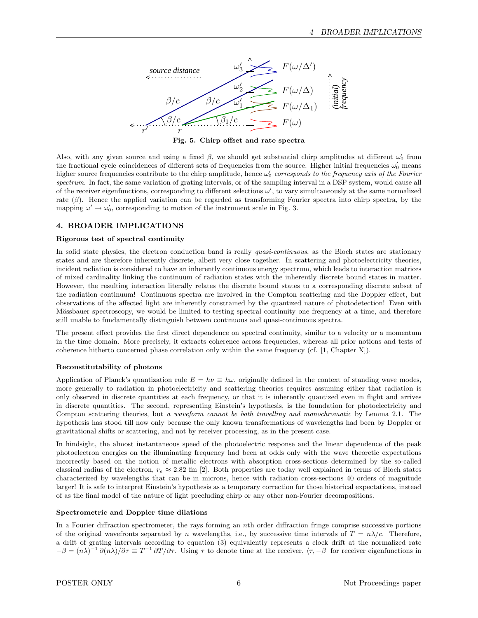

Fig. 5. Chirp offset and rate spectra

Also, with any given source and using a fixed  $\beta$ , we should get substantial chirp amplitudes at different  $\omega'_0$  from the fractional cycle coincidences of different sets of frequencies from the source. Higher initial frequencies  $\omega'_0$  means higher source frequencies contribute to the chirp amplitude, hence  $\omega'_0$  corresponds to the frequency axis of the Fourier spectrum. In fact, the same variation of grating intervals, or of the sampling interval in a DSP system, would cause all of the receiver eigenfunctions, corresponding to different selections  $\omega'$ , to vary simultaneously at the same normalized rate  $(\beta)$ . Hence the applied variation can be regarded as transforming Fourier spectra into chirp spectra, by the mapping  $\omega' \to \omega_0'$ , corresponding to motion of the instrument scale in Fig. 3.

# 4. BROADER IMPLICATIONS

# Rigorous test of spectral continuity

In solid state physics, the electron conduction band is really *quasi-continuous*, as the Bloch states are stationary states and are therefore inherently discrete, albeit very close together. In scattering and photoelectricity theories, incident radiation is considered to have an inherently continuous energy spectrum, which leads to interaction matrices of mixed cardinality linking the continuum of radiation states with the inherently discrete bound states in matter. However, the resulting interaction literally relates the discrete bound states to a corresponding discrete subset of the radiation continuum! Continuous spectra are involved in the Compton scattering and the Doppler effect, but observations of the affected light are inherently constrained by the quantized nature of photodetection! Even with Mössbauer spectroscopy, we would be limited to testing spectral continuity one frequency at a time, and therefore still unable to fundamentally distinguish between continuous and quasi-continuous spectra.

The present effect provides the first direct dependence on spectral continuity, similar to a velocity or a momentum in the time domain. More precisely, it extracts coherence across frequencies, whereas all prior notions and tests of coherence hitherto concerned phase correlation only within the same frequency (cf. [1, Chapter X]).

# Reconstitutability of photons

Application of Planck's quantization rule  $E = h\nu \equiv \hbar\omega$ , originally defined in the context of standing wave modes, more generally to radiation in photoelectricity and scattering theories requires assuming either that radiation is only observed in discrete quantities at each frequency, or that it is inherently quantized even in flight and arrives in discrete quantities. The second, representing Einstein's hypothesis, is the foundation for photoelectricity and Compton scattering theories, but a waveform cannot be both travelling and monochromatic by Lemma 2.1. The hypothesis has stood till now only because the only known transformations of wavelengths had been by Doppler or gravitational shifts or scattering, and not by receiver processing, as in the present case.

In hindsight, the almost instantaneous speed of the photoelectric response and the linear dependence of the peak photoelectron energies on the illuminating frequency had been at odds only with the wave theoretic expectations incorrectly based on the notion of metallic electrons with absorption cross-sections determined by the so-called classical radius of the electron,  $r_e \approx 2.82$  fm [2]. Both properties are today well explained in terms of Bloch states characterized by wavelengths that can be in microns, hence with radiation cross-sections 40 orders of magnitude larger! It is safe to interpret Einstein's hypothesis as a temporary correction for those historical expectations, instead of as the final model of the nature of light precluding chirp or any other non-Fourier decompositions.

### Spectrometric and Doppler time dilations

In a Fourier diffraction spectrometer, the rays forming an nth order diffraction fringe comprise successive portions of the original wavefronts separated by n wavelengths, i.e., by successive time intervals of  $T = n\lambda/c$ . Therefore, a drift of grating intervals according to equation (3) equivalently represents a clock drift at the normalized rate  $-\beta = (n\lambda)^{-1} \frac{\partial (n\lambda)}{\partial \tau} \equiv T^{-1} \frac{\partial T}{\partial \tau}$ . Using  $\tau$  to denote time at the receiver,  $\langle \tau, -\beta |$  for receiver eigenfunctions in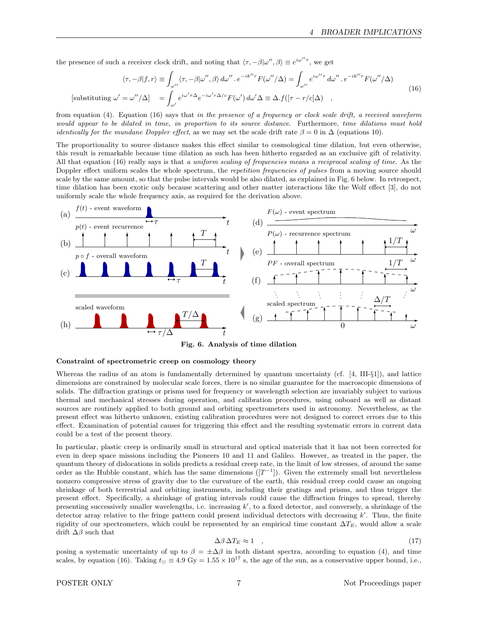the presence of such a receiver clock drift, and noting that  $\langle \tau, -\beta | \omega'', \beta \rangle \equiv e^{i\omega'' \tau}$ , we get

$$
\langle \tau, -\beta | f, r \rangle \equiv \int_{\omega''} \langle \tau, -\beta | \omega'', \beta \rangle d\omega'' \cdot e^{-ik''r} F(\omega''/\Delta) = \int_{\omega''} e^{i\omega''\tau} d\omega'' \cdot e^{-ik''r} F(\omega''/\Delta)
$$
  
[substituting  $\omega' = \omega''/\Delta$ ] =  $\int_{\omega'} e^{i\omega'\tau\Delta} e^{-i\omega'\tau\Delta/c} F(\omega') d\omega' \Delta \equiv \Delta \cdot f([\tau - r/c]\Delta)$ , (16)

from equation (4). Equation (16) says that in the presence of a frequency or clock scale drift, a received waveform would appear to be dilated in time, in proportion to its source distance. Furthermore, time dilations must hold *identically for the mundane Doppler effect*, as we may set the scale drift rate  $\beta = 0$  in  $\Delta$  (equations 10).

The proportionality to source distance makes this effect similar to cosmological time dilation, but even otherwise, this result is remarkable because time dilation as such has been hitherto regarded as an exclusive gift of relativity. All that equation (16) really says is that a uniform scaling of frequencies means a reciprocal scaling of time. As the Doppler effect uniform scales the whole spectrum, the *repetition frequencies of pulses* from a moving source should scale by the same amount, so that the pulse intervals would be also dilated, as explained in Fig. 6 below. In retrospect, time dilation has been exotic only because scattering and other matter interactions like the Wolf effect [3], do not uniformly scale the whole frequency axis, as required for the derivation above.



Fig. 6. Analysis of time dilation

#### Constraint of spectrometric creep on cosmology theory

Whereas the radius of an atom is fundamentally determined by quantum uncertainty (cf. [4, III-§1]), and lattice dimensions are constrained by molecular scale forces, there is no similar guarantee for the macroscopic dimensions of solids. The diffraction gratings or prisms used for frequency or wavelength selection are invariably subject to various thermal and mechanical stresses during operation, and calibration procedures, using onboard as well as distant sources are routinely applied to both ground and orbiting spectrometers used in astronomy. Nevertheless, as the present effect was hitherto unknown, existing calibration procedures were not designed to correct errors due to this effect. Examination of potential causes for triggering this effect and the resulting systematic errors in current data could be a test of the present theory.

In particular, plastic creep is ordinarily small in structural and optical materials that it has not been corrected for even in deep space missions including the Pioneers 10 and 11 and Galileo. However, as treated in the paper, the quantum theory of dislocations in solids predicts a residual creep rate, in the limit of low stresses, of around the same order as the Hubble constant, which has the same dimensions  $([T^{-1}])$ . Given the extremely small but nevertheless nonzero compressive stress of gravity due to the curvature of the earth, this residual creep could cause an ongoing shrinkage of both terrestrial and orbiting instruments, including their gratings and prisms, and thus trigger the present effect. Specifically, a shrinkage of grating intervals could cause the diffraction fringes to spread, thereby presenting successively smaller wavelengths, i.e. increasing  $k'$ , to a fixed detector, and conversely, a shrinkage of the detector array relative to the fringe pattern could present individual detectors with decreasing  $k'$ . Thus, the finite rigidity of our spectrometers, which could be represented by an empirical time constant  $\Delta T_E$ , would allow a scale drift  $\Delta\beta$  such that

$$
\Delta \beta \, \Delta T_E \approx 1 \quad , \tag{17}
$$

posing a systematic uncertainty of up to  $\beta = \pm \Delta \beta$  in both distant spectra, according to equation (4), and time scales, by equation (16). Taking  $t_{\odot} \equiv 4.9 \text{ Gy} = 1.55 \times 10^{17} \text{ s}$ , the age of the sun, as a conservative upper bound, i.e.,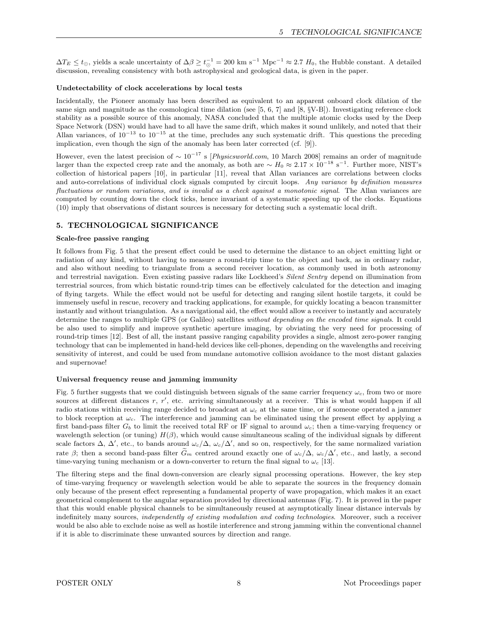$\Delta T_E \le t_{\odot}$ , yields a scale uncertainty of  $\Delta \beta \ge t_{\odot}^{-1} = 200 \text{ km s}^{-1} \text{ Mpc}^{-1} \approx 2.7 H_0$ , the Hubble constant. A detailed discussion, revealing consistency with both astrophysical and geological data, is given in the paper.

### Undetectability of clock accelerations by local tests

Incidentally, the Pioneer anomaly has been described as equivalent to an apparent onboard clock dilation of the same sign and magnitude as the cosmological time dilation (see  $[5, 6, 7]$  and  $[8, \S{V-B}]$ ). Investigating reference clock stability as a possible source of this anomaly, NASA concluded that the multiple atomic clocks used by the Deep Space Network (DSN) would have had to all have the same drift, which makes it sound unlikely, and noted that their Allan variances, of  $10^{-13}$  to  $10^{-15}$  at the time, precludes any such systematic drift. This questions the preceding implication, even though the sign of the anomaly has been later corrected (cf. [9]).

However, even the latest precision of  $\sim 10^{-17}$  s [Physicsworld.com, 10 March 2008] remains an order of magnitude larger than the expected creep rate and the anomaly, as both are  $\sim H_0 \approx 2.17 \times 10^{-18} \text{ s}^{-1}$ . Further more, NIST's collection of historical papers [10], in particular [11], reveal that Allan variances are correlations between clocks and auto-correlations of individual clock signals computed by circuit loops. Any variance by definition measures fluctuations or random variations, and is invalid as a check against a monotonic signal. The Allan variances are computed by counting down the clock ticks, hence invariant of a systematic speeding up of the clocks. Equations (10) imply that observations of distant sources is necessary for detecting such a systematic local drift.

# 5. TECHNOLOGICAL SIGNIFICANCE

### Scale-free passive ranging

It follows from Fig. 5 that the present effect could be used to determine the distance to an object emitting light or radiation of any kind, without having to measure a round-trip time to the object and back, as in ordinary radar, and also without needing to triangulate from a second receiver location, as commonly used in both astronomy and terrestrial navigation. Even existing passive radars like Lockheed's Silent Sentry depend on illumination from terrestrial sources, from which bistatic round-trip times can be effectively calculated for the detection and imaging of flying targets. While the effect would not be useful for detecting and ranging silent hostile targets, it could be immensely useful in rescue, recovery and tracking applications, for example, for quickly locating a beacon transmitter instantly and without triangulation. As a navigational aid, the effect would allow a receiver to instantly and accurately determine the ranges to multiple GPS (or Galileo) satellites without depending on the encoded time signals. It could be also used to simplify and improve synthetic aperture imaging, by obviating the very need for processing of round-trip times [12]. Best of all, the instant passive ranging capability provides a single, almost zero-power ranging technology that can be implemented in hand-held devices like cell-phones, depending on the wavelengths and receiving sensitivity of interest, and could be used from mundane automotive collision avoidance to the most distant galaxies and supernovae!

### Universal frequency reuse and jamming immunity

Fig. 5 further suggests that we could distinguish between signals of the same carrier frequency  $\omega_c$ , from two or more sources at different distances  $r, r'$ , etc. arriving simultaneously at a receiver. This is what would happen if all radio stations within receiving range decided to broadcast at  $\omega_c$  at the same time, or if someone operated a jammer to block reception at  $\omega_c$ . The interference and jamming can be eliminated using the present effect by applying a first band-pass filter  $G_b$  to limit the received total RF or IF signal to around  $\omega_c$ ; then a time-varying frequency or wavelength selection (or tuning)  $H(\beta)$ , which would cause simultaneous scaling of the individual signals by different scale factors  $\Delta$ ,  $\Delta'$ , etc., to bands around  $\omega_c/\Delta$ ,  $\omega_c/\Delta'$ , and so on, respectively, for the same normalized variation rate  $\beta$ ; then a second band-pass filter  $\tilde{G}_m$  centred around exactly one of  $\omega_c/\Delta$ ,  $\omega_c/\Delta'$ , etc., and lastly, a second time-varying tuning mechanism or a down-converter to return the final signal to  $\omega_c$  [13].

The filtering steps and the final down-conversion are clearly signal processing operations. However, the key step of time-varying frequency or wavelength selection would be able to separate the sources in the frequency domain only because of the present effect representing a fundamental property of wave propagation, which makes it an exact geometrical complement to the angular separation provided by directional antennas (Fig. 7). It is proved in the paper that this would enable physical channels to be simultaneously reused at asymptotically linear distance intervals by indefinitely many sources, *independently of existing modulation and coding technologies*. Moreover, such a receiver would be also able to exclude noise as well as hostile interference and strong jamming within the conventional channel if it is able to discriminate these unwanted sources by direction and range.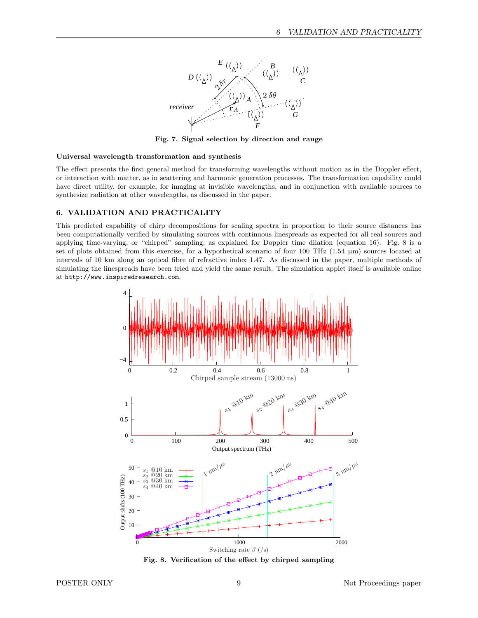

Fig. 7. Signal selection by direction and range

#### Universal wavelength transformation and synthesis

The effect presents the first general method for transforming wavelengths without motion as in the Doppler effect, or interaction with matter, as in scattering and harmonic generation processes. The transformation capability could have direct utility, for example, for imaging at invisible wavelengths, and in conjunction with available sources to synthesize radiation at other wavelengths, as discussed in the paper.

# 6. VALIDATION AND PRACTICALITY

This predicted capability of chirp decompositions for scaling spectra in proportion to their source distances has been computationally verified by simulating sources with continuous linespreads as expected for all real sources and applying time-varying, or "chirped" sampling, as explained for Doppler time dilation (equation 16). Fig. 8 is a set of plots obtained from this exercise, for a hypothetical scenario of four 100 THz  $(1.54 \mu m)$  sources located at intervals of 10 km along an optical fibre of refractive index 1.47. As discussed in the paper, multiple methods of simulating the linespreads have been tried and yield the same result. The simulation applet itself is available online at http://www.inspiredresearch.com.



Fig. 8. Verification of the effect by chirped sampling